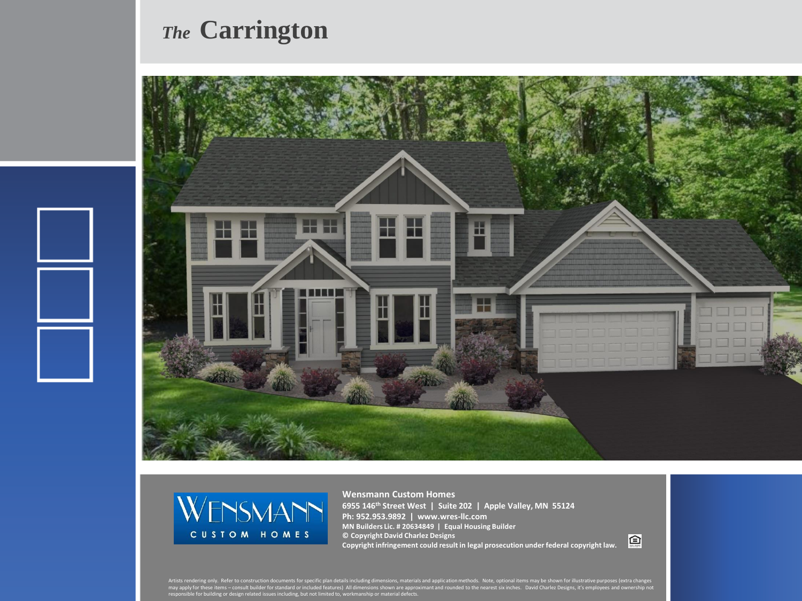## *The* **Carrington**





**Wensmann Custom Homes 6955 146th Street West | Suite 202 | Apple Valley, MN 55124 Ph: 952.953.9892 | www.wres-llc.com MN Builders Lic. # 20634849 | Equal Housing Builder © Copyright David Charlez Designs Copyright infringement could result in legal prosecution under federal copyright law.**

回

Artists rendering only. Refer to construction documents for specific plan details including dimensions, materials and application methods. Note, optional items may be shown for illustrative purposes (extra changes<br>may appl